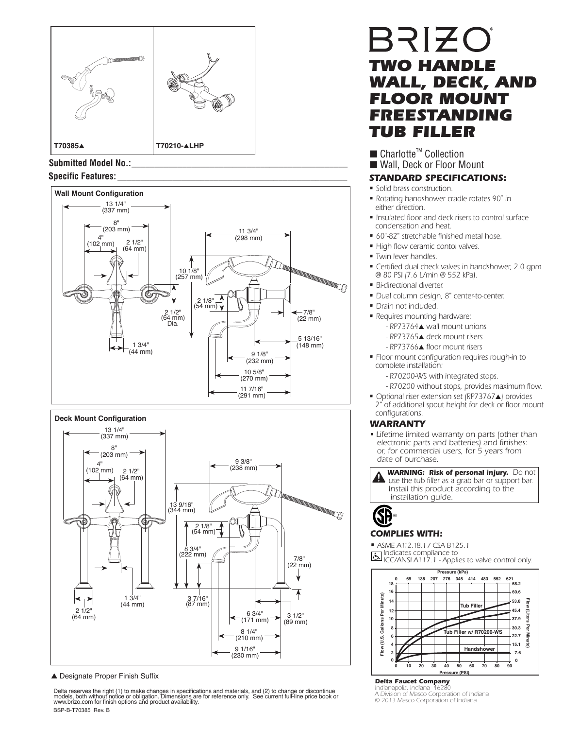

Submitted Model No.:







▲ Designate Proper Finish Suffix

Delta reserves the right (1) to make changes in specifications and materials, and (2) to change or discontinue<br>models, both without notice or obligation. Dimensions are for reference only. See current full-line price book BSP-B-T70385 Rev. B

# BRIZO *TWO HANDLE WALL, DECK, AND*  **FLOOR MOUNT** *FREESTANDING TUB FILLER*

## ■ Charlotte<sup>™</sup> Collection

### ■ Wall, Deck or Floor Mount

- Solid brass construction.
- Rotating handshower cradle rotates 90˚ in either direction.
- Insulated floor and deck risers to control surface condensation and heat.
- 60"-82" stretchable finished metal hose.
- High flow ceramic contol valves.
- Twin lever handles.
- Certified dual check valves in handshower, 2.0 gpm @ 80 PSI (7.6 L/min @ 552 kPa).
- Bi-directional diverter.
- Dual column design, 8" center-to-center.
- Drain not included.
- Requires mounting hardware:
	- RP73764▲ wall mount unions
	- RP73765▲ deck mount risers
	- RP73766▲ floor mount risers
- Floor mount configuration requires rough-in to complete installation:
	- R70200-WS with integrated stops.
	- R70200 without stops, provides maximum flow.
- Optional riser extension set (RP73767▲) provides 2" of additional spout height for deck or floor mount configurations.

### *WARRANTY*

• Lifetime limited warranty on parts (other than electronic parts and batteries) and finishes: or, for commercial users, for 5 years from date of purchase.

**WARNING: Risk of personal injury.** Do not **A** use the tub filler as a grab bar or support bar. Install this product according to the installation guide.



### *COMPLIES WITH:*

• ASME A112.18.1 / CSA B125.1<br> **Transfluides** compliance to Indicates compliance to ICC/ANSI A117.1 - Applies to valve control only.



*Delta Faucet Company Idianapolis, Indiana* 

*A Division of Masco Corporation of Indiana © 2013 Masco Corporation of Indiana*